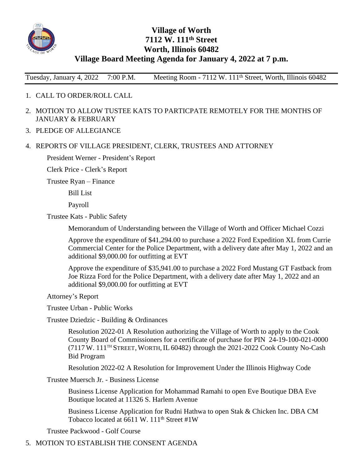

## **Village of Worth 7112 W. 111th Street Worth, Illinois 60482 Village Board Meeting Agenda for January 4, 2022 at 7 p.m.**

Tuesday, January 4, 2022 7:00 P.M. Meeting Room - 7112 W. 111<sup>th</sup> Street, Worth, Illinois 60482

- 1. CALL TO ORDER/ROLL CALL
- 2. MOTION TO ALLOW TUSTEE KATS TO PARTICPATE REMOTELY FOR THE MONTHS OF JANUARY & FEBRUARY
- 3. PLEDGE OF ALLEGIANCE
- 4. REPORTS OF VILLAGE PRESIDENT, CLERK, TRUSTEES AND ATTORNEY

President Werner - President's Report

Clerk Price - Clerk's Report

Trustee Ryan – Finance

Bill List

Payroll

Trustee Kats - Public Safety

Memorandum of Understanding between the Village of Worth and Officer Michael Cozzi

Approve the expenditure of \$41,294.00 to purchase a 2022 Ford Expedition XL from Currie Commercial Center for the Police Department, with a delivery date after May 1, 2022 and an additional \$9,000.00 for outfitting at EVT

Approve the expenditure of \$35,941.00 to purchase a 2022 Ford Mustang GT Fastback from Joe Rizza Ford for the Police Department, with a delivery date after May 1, 2022 and an additional \$9,000.00 for outfitting at EVT

Attorney's Report

Trustee Urban - Public Works

Trustee Dziedzic - Building & Ordinances

Resolution 2022-01 A Resolution authorizing the Village of Worth to apply to the Cook County Board of Commissioners for a certificate of purchase for PIN 24-19-100-021-0000 (7117 W. 111TH STREET, WORTH,IL 60482) through the 2021-2022 Cook County No-Cash Bid Program

Resolution 2022-02 A Resolution for Improvement Under the Illinois Highway Code

Trustee Muersch Jr. - Business License

Business License Application for Mohammad Ramahi to open Eve Boutique DBA Eve Boutique located at 11326 S. Harlem Avenue

Business License Application for Rudni Hathwa to open Stak & Chicken Inc. DBA CM Tobacco located at 6611 W. 111<sup>th</sup> Street #1W

Trustee Packwood - Golf Course

5. MOTION TO ESTABLISH THE CONSENT AGENDA